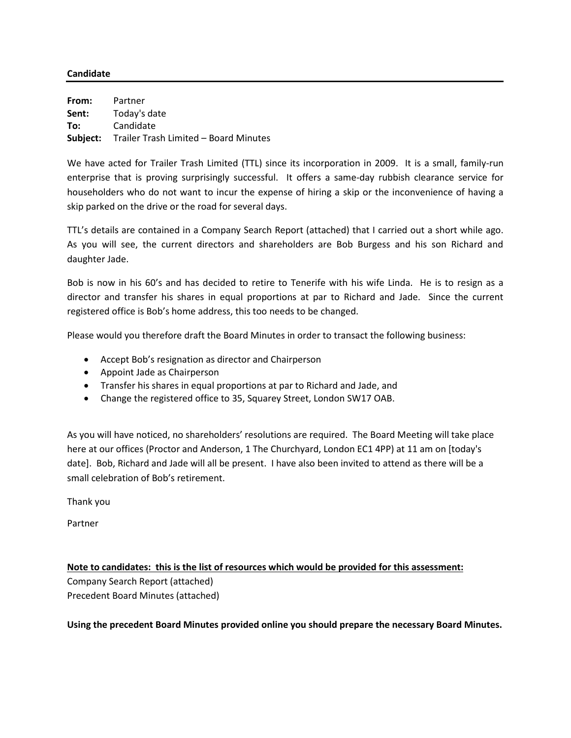#### **Candidate**

**From:** Partner **Sent:** Today's date **To:** Candidate **Subject:** Trailer Trash Limited – Board Minutes

We have acted for Trailer Trash Limited (TTL) since its incorporation in 2009. It is a small, family-run enterprise that is proving surprisingly successful. It offers a same-day rubbish clearance service for householders who do not want to incur the expense of hiring a skip or the inconvenience of having a skip parked on the drive or the road for several days.

TTL's details are contained in a Company Search Report (attached) that I carried out a short while ago. As you will see, the current directors and shareholders are Bob Burgess and his son Richard and daughter Jade.

Bob is now in his 60's and has decided to retire to Tenerife with his wife Linda. He is to resign as a director and transfer his shares in equal proportions at par to Richard and Jade. Since the current registered office is Bob's home address, this too needs to be changed.

Please would you therefore draft the Board Minutes in order to transact the following business:

- Accept Bob's resignation as director and Chairperson
- Appoint Jade as Chairperson
- Transfer his shares in equal proportions at par to Richard and Jade, and
- Change the registered office to 35, Squarey Street, London SW17 OAB.

As you will have noticed, no shareholders' resolutions are required. The Board Meeting will take place here at our offices (Proctor and Anderson, 1 The Churchyard, London EC1 4PP) at 11 am on [today's date]. Bob, Richard and Jade will all be present. I have also been invited to attend as there will be a small celebration of Bob's retirement.

Thank you

Partner

### **Note to candidates: this is the list of resources which would be provided for this assessment:**

Company Search Report (attached) Precedent Board Minutes (attached)

**Using the precedent Board Minutes provided online you should prepare the necessary Board Minutes.**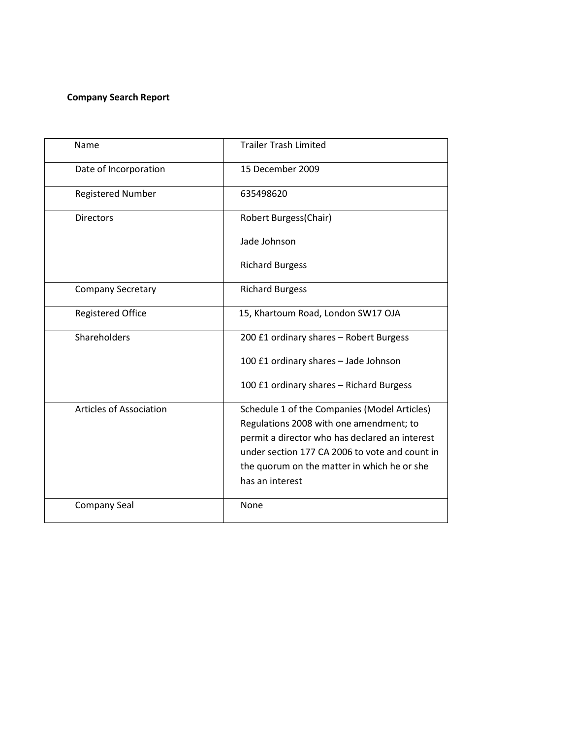# **Company Search Report**

| Name                           | <b>Trailer Trash Limited</b>                   |
|--------------------------------|------------------------------------------------|
| Date of Incorporation          | 15 December 2009                               |
| <b>Registered Number</b>       | 635498620                                      |
| <b>Directors</b>               | Robert Burgess(Chair)                          |
|                                | Jade Johnson                                   |
|                                | <b>Richard Burgess</b>                         |
| Company Secretary              | <b>Richard Burgess</b>                         |
| <b>Registered Office</b>       | 15, Khartoum Road, London SW17 OJA             |
| Shareholders                   | 200 £1 ordinary shares - Robert Burgess        |
|                                | 100 £1 ordinary shares - Jade Johnson          |
|                                | 100 £1 ordinary shares - Richard Burgess       |
| <b>Articles of Association</b> | Schedule 1 of the Companies (Model Articles)   |
|                                | Regulations 2008 with one amendment; to        |
|                                | permit a director who has declared an interest |
|                                | under section 177 CA 2006 to vote and count in |
|                                | the quorum on the matter in which he or she    |
|                                | has an interest                                |
| <b>Company Seal</b>            | None                                           |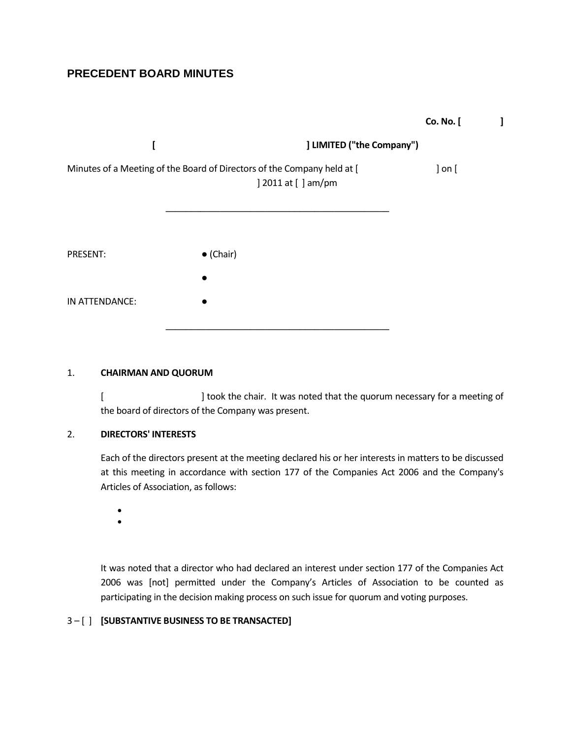# **PRECEDENT BOARD MINUTES**



#### 1. **CHAIRMAN AND QUORUM**

[ ] took the chair. It was noted that the quorum necessary for a meeting of the board of directors of the Company was present.

## 2. **DIRECTORS' INTERESTS**

Each of the directors present at the meeting declared his or her interests in matters to be discussed at this meeting in accordance with section 177 of the Companies Act 2006 and the Company's Articles of Association, as follows:

- •
- •

It was noted that a director who had declared an interest under section 177 of the Companies Act 2006 was [not] permitted under the Company's Articles of Association to be counted as participating in the decision making process on such issue for quorum and voting purposes.

## 3 – [ ] **[SUBSTANTIVE BUSINESS TO BE TRANSACTED]**